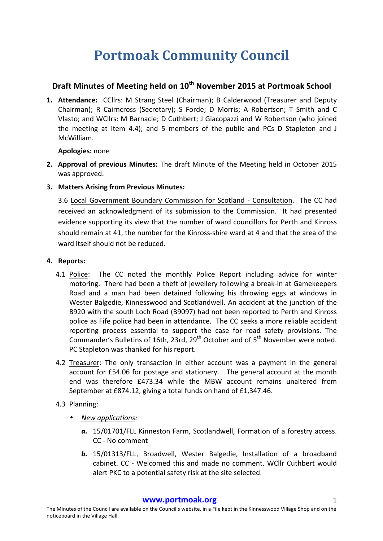# **Portmoak Community Council**

# **Draft Minutes of Meeting held on 10th November 2015 at Portmoak School**

1. Attendance: CCllrs: M Strang Steel (Chairman); B Calderwood (Treasurer and Deputy Chairman); R Cairncross (Secretary); S Forde; D Morris; A Robertson; T Smith and C Vlasto; and WCllrs: M Barnacle; D Cuthbert; J Giacopazzi and W Robertson (who joined the meeting at item 4.4); and 5 members of the public and PCs D Stapleton and J McWilliam.

### **Apologies:** none

- **2.** Approval of previous Minutes: The draft Minute of the Meeting held in October 2015 was approved.
- **3. Matters Arising from Previous Minutes:**

3.6 Local Government Boundary Commission for Scotland - Consultation. The CC had received an acknowledgment of its submission to the Commission. It had presented evidence supporting its view that the number of ward councillors for Perth and Kinross should remain at 41, the number for the Kinross-shire ward at 4 and that the area of the ward itself should not be reduced.

## **4.** Reports:

- 4.1 Police: The CC noted the monthly Police Report including advice for winter motoring. There had been a theft of jewellery following a break-in at Gamekeepers Road and a man had been detained following his throwing eggs at windows in Wester Balgedie, Kinnesswood and Scotlandwell. An accident at the junction of the B920 with the south Loch Road (B9097) had not been reported to Perth and Kinross police as Fife police had been in attendance. The CC seeks a more reliable accident reporting process essential to support the case for road safety provisions. The Commander's Bulletins of 16th, 23rd, 29<sup>th</sup> October and of 5<sup>th</sup> November were noted. PC Stapleton was thanked for his report.
- 4.2 Treasurer: The only transaction in either account was a payment in the general account for £54.06 for postage and stationery. The general account at the month end was therefore £473.34 while the MBW account remains unaltered from September at £874.12, giving a total funds on hand of £1,347.46.
- 4.3 Planning:
	- *New applications:*
		- a. 15/01701/FLL Kinneston Farm, Scotlandwell, Formation of a forestry access. CC - No comment
		- **b.** 15/01313/FLL, Broadwell, Wester Balgedie, Installation of a broadband cabinet. CC - Welcomed this and made no comment. WCllr Cuthbert would alert PKC to a potential safety risk at the site selected.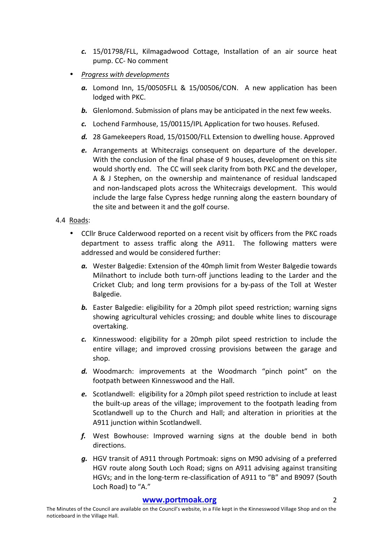- *c.* 15/01798/FLL, Kilmagadwood Cottage, Installation of an air source heat pump. CC- No comment
- **Progress with developments** 
	- a. Lomond Inn, 15/00505FLL & 15/00506/CON. A new application has been lodged with PKC.
	- **b.** Glenlomond. Submission of plans may be anticipated in the next few weeks.
	- c. Lochend Farmhouse, 15/00115/IPL Application for two houses. Refused.
	- d. 28 Gamekeepers Road, 15/01500/FLL Extension to dwelling house. Approved
	- **e.** Arrangements at Whitecraigs consequent on departure of the developer. With the conclusion of the final phase of 9 houses, development on this site would shortly end. The CC will seek clarity from both PKC and the developer. A & J Stephen, on the ownership and maintenance of residual landscaped and non-landscaped plots across the Whitecraigs development. This would include the large false Cypress hedge running along the eastern boundary of the site and between it and the golf course.

### 4.4 Roads:

- CCIIr Bruce Calderwood reported on a recent visit by officers from the PKC roads department to assess traffic along the A911. The following matters were addressed and would be considered further:
	- a. Wester Balgedie: Extension of the 40mph limit from Wester Balgedie towards Milnathort to include both turn-off junctions leading to the Larder and the Cricket Club; and long term provisions for a by-pass of the Toll at Wester Balgedie.
	- **b.** Easter Balgedie: eligibility for a 20mph pilot speed restriction; warning signs showing agricultural vehicles crossing; and double white lines to discourage overtaking.
	- **c.** Kinnesswood: eligibility for a 20mph pilot speed restriction to include the entire village; and improved crossing provisions between the garage and shop.
	- d. Woodmarch: improvements at the Woodmarch "pinch point" on the footpath between Kinnesswood and the Hall.
	- e. Scotlandwell: eligibility for a 20mph pilot speed restriction to include at least the built-up areas of the village; improvement to the footpath leading from Scotlandwell up to the Church and Hall; and alteration in priorities at the A911 iunction within Scotlandwell.
	- f. West Bowhouse: Improved warning signs at the double bend in both directions.
	- g. HGV transit of A911 through Portmoak: signs on M90 advising of a preferred HGV route along South Loch Road; signs on A911 advising against transiting HGVs; and in the long-term re-classification of A911 to "B" and B9097 (South Loch Road) to "A."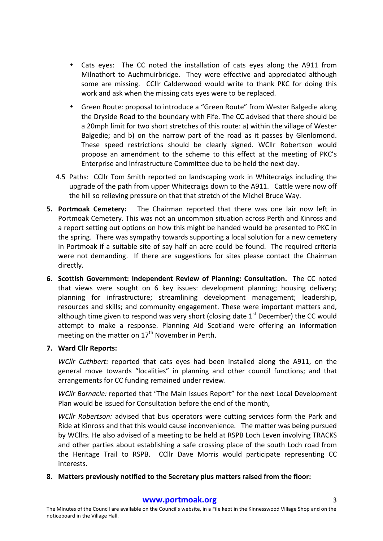- Cats eyes: The CC noted the installation of cats eyes along the A911 from Milnathort to Auchmuirbridge. They were effective and appreciated although some are missing. CCllr Calderwood would write to thank PKC for doing this work and ask when the missing cats eyes were to be replaced.
- Green Route: proposal to introduce a "Green Route" from Wester Balgedie along the Dryside Road to the boundary with Fife. The CC advised that there should be a 20mph limit for two short stretches of this route: a) within the village of Wester Balgedie; and b) on the narrow part of the road as it passes by Glenlomond. These speed restrictions should be clearly signed. WCllr Robertson would propose an amendment to the scheme to this effect at the meeting of PKC's Enterprise and Infrastructure Committee due to be held the next day.
- 4.5 Paths: CCllr Tom Smith reported on landscaping work in Whitecraigs including the upgrade of the path from upper Whitecraigs down to the A911. Cattle were now off the hill so relieving pressure on that that stretch of the Michel Bruce Way.
- **5. Portmoak Cemetery:** The Chairman reported that there was one lair now left in Portmoak Cemetery. This was not an uncommon situation across Perth and Kinross and a report setting out options on how this might be handed would be presented to PKC in the spring. There was sympathy towards supporting a local solution for a new cemetery in Portmoak if a suitable site of say half an acre could be found. The required criteria were not demanding. If there are suggestions for sites please contact the Chairman directly.
- **6.** Scottish Government: Independent Review of Planning: Consultation. The CC noted that views were sought on 6 key issues: development planning; housing delivery; planning for infrastructure; streamlining development management; leadership, resources and skills; and community engagement. These were important matters and, although time given to respond was very short (closing date  $1<sup>st</sup>$  December) the CC would attempt to make a response. Planning Aid Scotland were offering an information meeting on the matter on  $17<sup>th</sup>$  November in Perth.

#### **7. Ward Cllr Reports:**

*WCllr Cuthbert:* reported that cats eyes had been installed along the A911, on the general move towards "localities" in planning and other council functions; and that arrangements for CC funding remained under review.

*WCllr Barnacle:* reported that "The Main Issues Report" for the next Local Development Plan would be issued for Consultation before the end of the month,

*WCllr Robertson:* advised that bus operators were cutting services form the Park and Ride at Kinross and that this would cause inconvenience. The matter was being pursued by WCllrs. He also advised of a meeting to be held at RSPB Loch Leven involving TRACKS and other parties about establishing a safe crossing place of the south Loch road from the Heritage Trail to RSPB. CCllr Dave Morris would participate representing CC interests. 

#### 8. Matters previously notified to the Secretary plus matters raised from the floor: